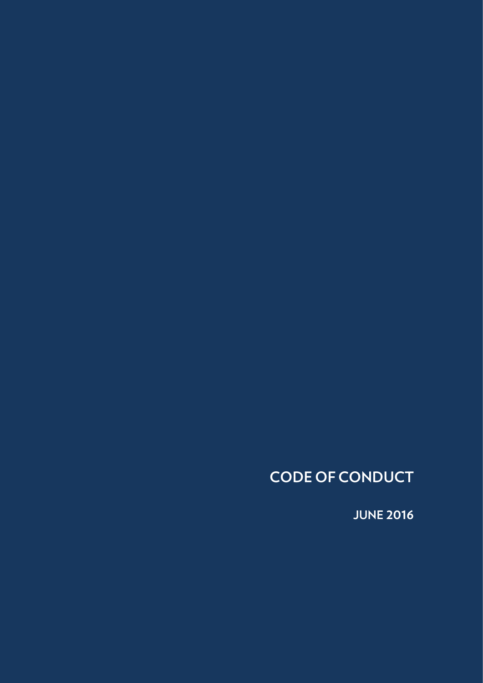## **CODE OF CONDUCT**

**JUNE 2016**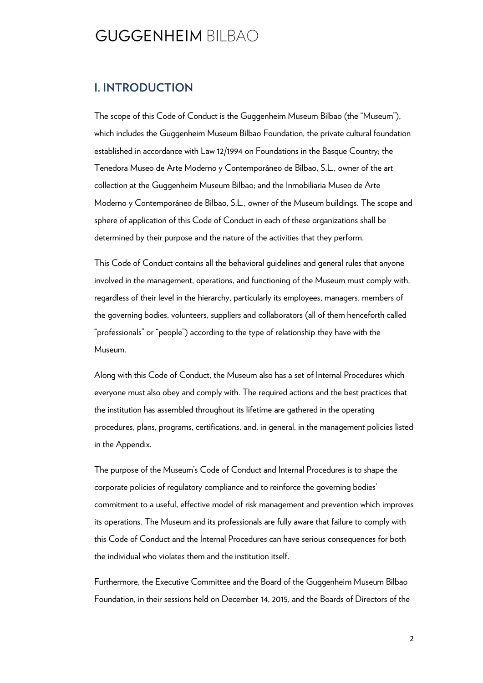#### **I. INTRODUCTION**

The scope of this Code of Conduct is the Guggenheim Museum Bilbao (the "Museum"), which includes the Guggenheim Museum Bilbao Foundation, the private cultural foundation established in accordance with Law 12/1994 on Foundations in the Basque Country; the Tenedora Museo de Arte Moderno y Contemporáneo de Bilbao, S.L., owner of the art collection at the Guggenheim Museum Bilbao; and the Inmobiliaria Museo de Arte Moderno y Contemporáneo de Bilbao, S.L., owner of the Museum buildings. The scope and sphere of application of this Code of Conduct in each of these organizations shall be determined by their purpose and the nature of the activities that they perform.

This Code of Conduct contains all the behavioral guidelines and general rules that anyone involved in the management, operations, and functioning of the Museum must comply with, regardless of their level in the hierarchy, particularly its employees, managers, members of the governing bodies, volunteers, suppliers and collaborators (all of them henceforth called "professionals" or "people") according to the type of relationship they have with the Museum.

Along with this Code of Conduct, the Museum also has a set of Internal Procedures which everyone must also obey and comply with. The required actions and the best practices that the institution has assembled throughout its lifetime are gathered in the operating procedures, plans, programs, certifications, and, in general, in the management policies listed in the Appendix.

The purpose of the Museum's Code of Conduct and Internal Procedures is to shape the corporate policies of regulatory compliance and to reinforce the governing bodies' commitment to a useful, effective model of risk management and prevention which improves its operations. The Museum and its professionals are fully aware that failure to comply with this Code of Conduct and the Internal Procedures can have serious consequences for both the individual who violates them and the institution itself.

Furthermore, the Executive Committee and the Board of the Guggenheim Museum Bilbao Foundation, in their sessions held on December 14, 2015, and the Boards of Directors of the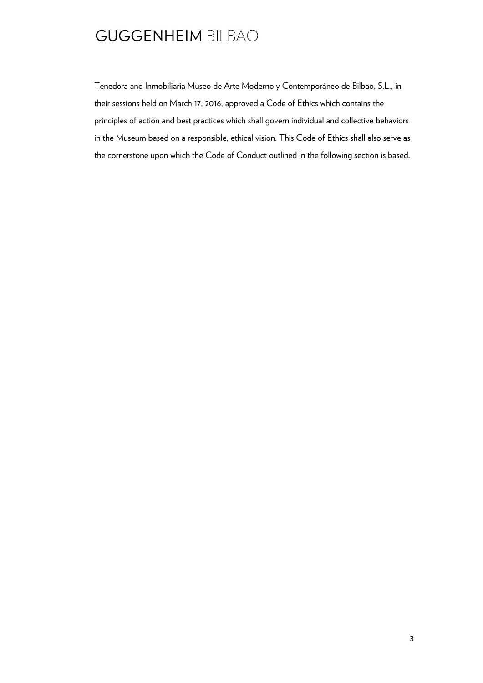Tenedora and Inmobiliaria Museo de Arte Moderno y Contemporáneo de Bilbao, S.L., in their sessions held on March 17, 2016, approved a Code of Ethics which contains the principles of action and best practices which shall govern individual and collective behaviors in the Museum based on a responsible, ethical vision. This Code of Ethics shall also serve as the cornerstone upon which the Code of Conduct outlined in the following section is based.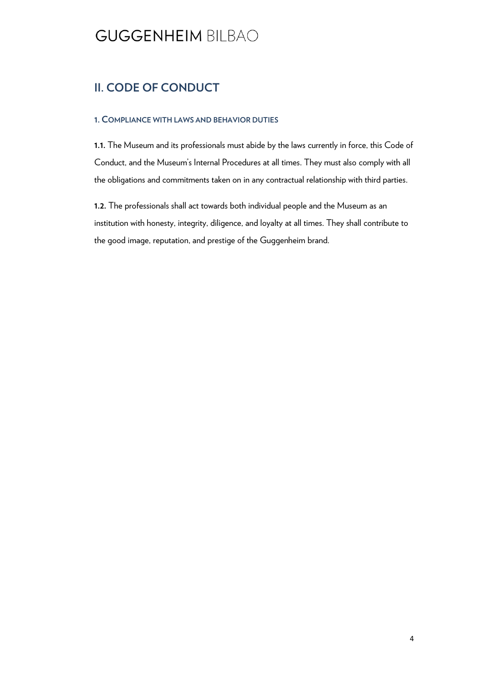#### **II. CODE OF CONDUCT**

#### **1. COMPLIANCE WITH LAWS AND BEHAVIOR DUTIES**

**1.1.** The Museum and its professionals must abide by the laws currently in force, this Code of Conduct, and the Museum's Internal Procedures at all times. They must also comply with all the obligations and commitments taken on in any contractual relationship with third parties.

**1.2.** The professionals shall act towards both individual people and the Museum as an institution with honesty, integrity, diligence, and loyalty at all times. They shall contribute to the good image, reputation, and prestige of the Guggenheim brand.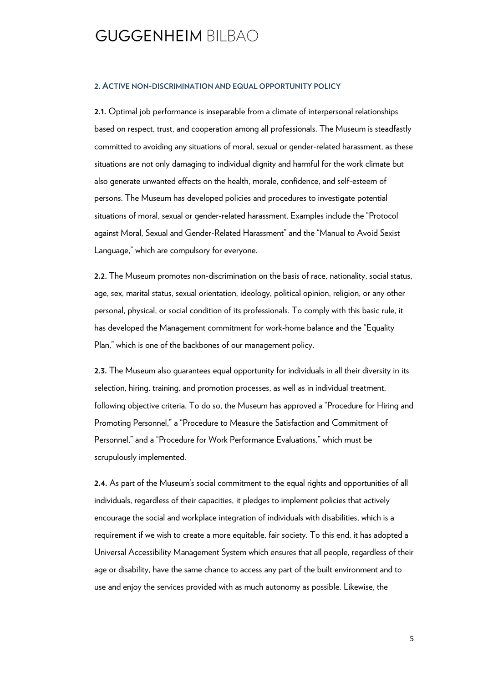#### **2. ACTIVE NON-DISCRIMINATION AND EQUAL OPPORTUNITY POLICY**

**2.1.** Optimal job performance is inseparable from a climate of interpersonal relationships based on respect, trust, and cooperation among all professionals. The Museum is steadfastly committed to avoiding any situations of moral, sexual or gender-related harassment, as these situations are not only damaging to individual dignity and harmful for the work climate but also generate unwanted effects on the health, morale, confidence, and self-esteem of persons. The Museum has developed policies and procedures to investigate potential situations of moral, sexual or gender-related harassment. Examples include the "Protocol against Moral, Sexual and Gender-Related Harassment" and the "Manual to Avoid Sexist Language," which are compulsory for everyone.

**2.2.** The Museum promotes non-discrimination on the basis of race, nationality, social status, age, sex, marital status, sexual orientation, ideology, political opinion, religion, or any other personal, physical, or social condition of its professionals. To comply with this basic rule, it has developed the Management commitment for work-home balance and the "Equality Plan," which is one of the backbones of our management policy.

**2.3.** The Museum also guarantees equal opportunity for individuals in all their diversity in its selection, hiring, training, and promotion processes, as well as in individual treatment, following objective criteria. To do so, the Museum has approved a "Procedure for Hiring and Promoting Personnel," a "Procedure to Measure the Satisfaction and Commitment of Personnel," and a "Procedure for Work Performance Evaluations," which must be scrupulously implemented.

**2.4.** As part of the Museum's social commitment to the equal rights and opportunities of all individuals, regardless of their capacities, it pledges to implement policies that actively encourage the social and workplace integration of individuals with disabilities, which is a requirement if we wish to create a more equitable, fair society. To this end, it has adopted a Universal Accessibility Management System which ensures that all people, regardless of their age or disability, have the same chance to access any part of the built environment and to use and enjoy the services provided with as much autonomy as possible. Likewise, the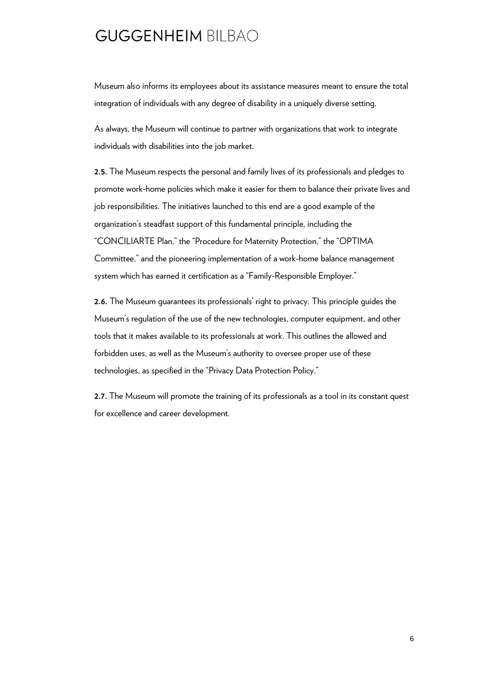Museum also informs its employees about its assistance measures meant to ensure the total integration of individuals with any degree of disability in a uniquely diverse setting.

As always, the Museum will continue to partner with organizations that work to integrate individuals with disabilities into the job market.

**2.5.** The Museum respects the personal and family lives of its professionals and pledges to promote work-home policies which make it easier for them to balance their private lives and job responsibilities. The initiatives launched to this end are a good example of the organization's steadfast support of this fundamental principle, including the "CONCILIARTE Plan," the "Procedure for Maternity Protection," the "OPTIMA Committee," and the pioneering implementation of a work-home balance management system which has earned it certification as a "Family-Responsible Employer."

**2.6.** The Museum guarantees its professionals' right to privacy. This principle guides the Museum's regulation of the use of the new technologies, computer equipment, and other tools that it makes available to its professionals at work. This outlines the allowed and forbidden uses, as well as the Museum's authority to oversee proper use of these technologies, as specified in the "Privacy Data Protection Policy."

**2.7.** The Museum will promote the training of its professionals as a tool in its constant quest for excellence and career development.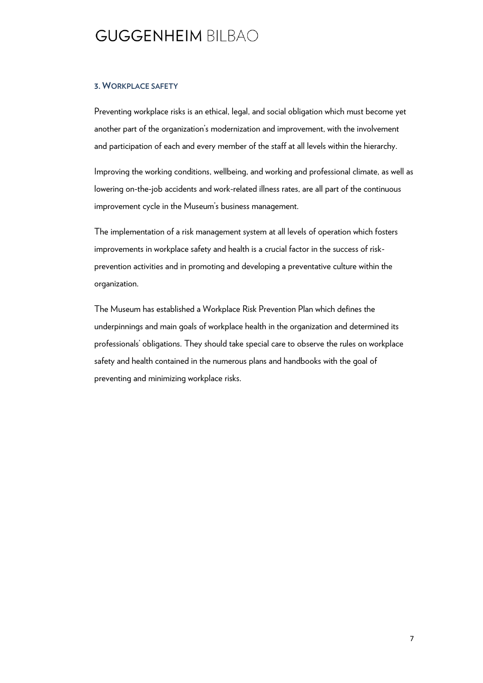#### **3. WORKPLACE SAFETY**

Preventing workplace risks is an ethical, legal, and social obligation which must become yet another part of the organization's modernization and improvement, with the involvement and participation of each and every member of the staff at all levels within the hierarchy.

Improving the working conditions, wellbeing, and working and professional climate, as well as lowering on-the-job accidents and work-related illness rates, are all part of the continuous improvement cycle in the Museum's business management.

The implementation of a risk management system at all levels of operation which fosters improvements in workplace safety and health is a crucial factor in the success of riskprevention activities and in promoting and developing a preventative culture within the organization.

The Museum has established a Workplace Risk Prevention Plan which defines the underpinnings and main goals of workplace health in the organization and determined its professionals' obligations. They should take special care to observe the rules on workplace safety and health contained in the numerous plans and handbooks with the goal of preventing and minimizing workplace risks.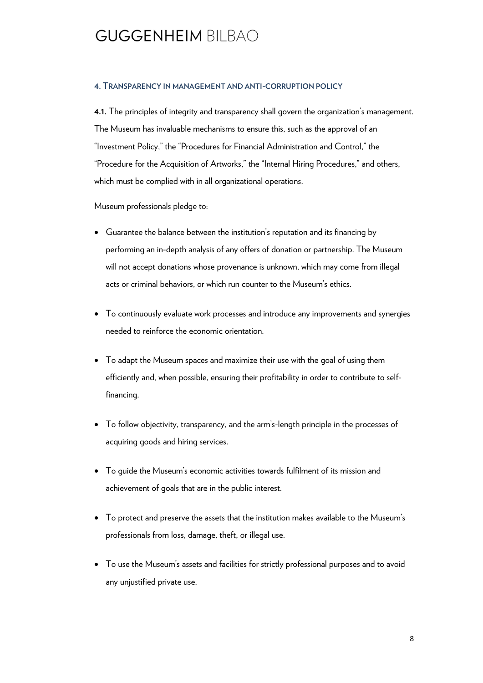#### **4. TRANSPARENCY IN MANAGEMENT AND ANTI-CORRUPTION POLICY**

**4.1.** The principles of integrity and transparency shall govern the organization's management. The Museum has invaluable mechanisms to ensure this, such as the approval of an "Investment Policy," the "Procedures for Financial Administration and Control," the "Procedure for the Acquisition of Artworks," the "Internal Hiring Procedures," and others, which must be complied with in all organizational operations.

Museum professionals pledge to:

- Guarantee the balance between the institution's reputation and its financing by performing an in-depth analysis of any offers of donation or partnership. The Museum will not accept donations whose provenance is unknown, which may come from illegal acts or criminal behaviors, or which run counter to the Museum's ethics.
- To continuously evaluate work processes and introduce any improvements and synergies needed to reinforce the economic orientation.
- To adapt the Museum spaces and maximize their use with the goal of using them efficiently and, when possible, ensuring their profitability in order to contribute to selffinancing.
- To follow objectivity, transparency, and the arm's-length principle in the processes of acquiring goods and hiring services.
- To guide the Museum's economic activities towards fulfilment of its mission and achievement of goals that are in the public interest.
- To protect and preserve the assets that the institution makes available to the Museum's professionals from loss, damage, theft, or illegal use.
- To use the Museum's assets and facilities for strictly professional purposes and to avoid any unjustified private use.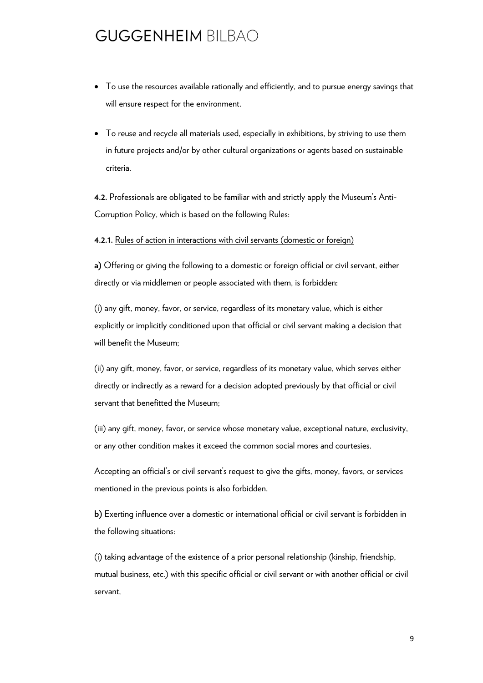- To use the resources available rationally and efficiently, and to pursue energy savings that will ensure respect for the environment.
- To reuse and recycle all materials used, especially in exhibitions, by striving to use them in future projects and/or by other cultural organizations or agents based on sustainable criteria.

**4.2.** Professionals are obligated to be familiar with and strictly apply the Museum's Anti-Corruption Policy, which is based on the following Rules:

#### **4.2.1.** Rules of action in interactions with civil servants (domestic or foreign)

**a)** Offering or giving the following to a domestic or foreign official or civil servant, either directly or via middlemen or people associated with them, is forbidden:

(i) any gift, money, favor, or service, regardless of its monetary value, which is either explicitly or implicitly conditioned upon that official or civil servant making a decision that will benefit the Museum;

(ii) any gift, money, favor, or service, regardless of its monetary value, which serves either directly or indirectly as a reward for a decision adopted previously by that official or civil servant that benefitted the Museum;

(iii) any gift, money, favor, or service whose monetary value, exceptional nature, exclusivity, or any other condition makes it exceed the common social mores and courtesies.

Accepting an official's or civil servant's request to give the gifts, money, favors, or services mentioned in the previous points is also forbidden.

**b)** Exerting influence over a domestic or international official or civil servant is forbidden in the following situations:

(i) taking advantage of the existence of a prior personal relationship (kinship, friendship, mutual business, etc.) with this specific official or civil servant or with another official or civil servant,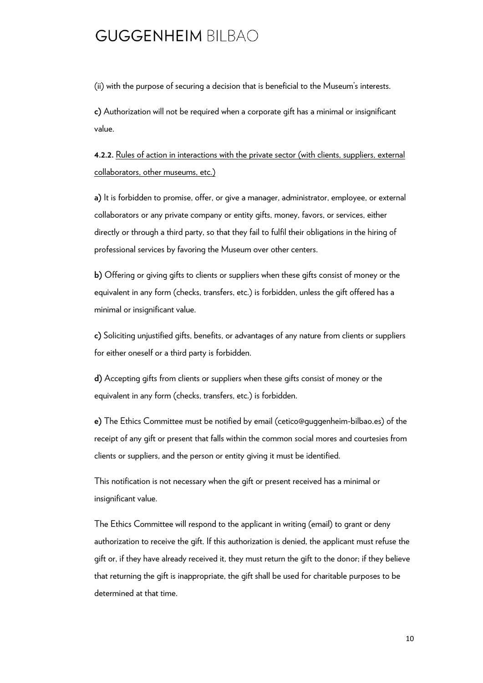(ii) with the purpose of securing a decision that is beneficial to the Museum's interests.

**c)** Authorization will not be required when a corporate gift has a minimal or insignificant value.

**4.2.2.** Rules of action in interactions with the private sector (with clients, suppliers, external collaborators, other museums, etc.)

**a)** It is forbidden to promise, offer, or give a manager, administrator, employee, or external collaborators or any private company or entity gifts, money, favors, or services, either directly or through a third party, so that they fail to fulfil their obligations in the hiring of professional services by favoring the Museum over other centers.

**b)** Offering or giving gifts to clients or suppliers when these gifts consist of money or the equivalent in any form (checks, transfers, etc.) is forbidden, unless the gift offered has a minimal or insignificant value.

**c)** Soliciting unjustified gifts, benefits, or advantages of any nature from clients or suppliers for either oneself or a third party is forbidden.

**d)** Accepting gifts from clients or suppliers when these gifts consist of money or the equivalent in any form (checks, transfers, etc.) is forbidden.

**e)** The Ethics Committee must be notified by email (cetico@guggenheim-bilbao.es) of the receipt of any gift or present that falls within the common social mores and courtesies from clients or suppliers, and the person or entity giving it must be identified.

This notification is not necessary when the gift or present received has a minimal or insignificant value.

The Ethics Committee will respond to the applicant in writing (email) to grant or deny authorization to receive the gift. If this authorization is denied, the applicant must refuse the gift or, if they have already received it, they must return the gift to the donor; if they believe that returning the gift is inappropriate, the gift shall be used for charitable purposes to be determined at that time.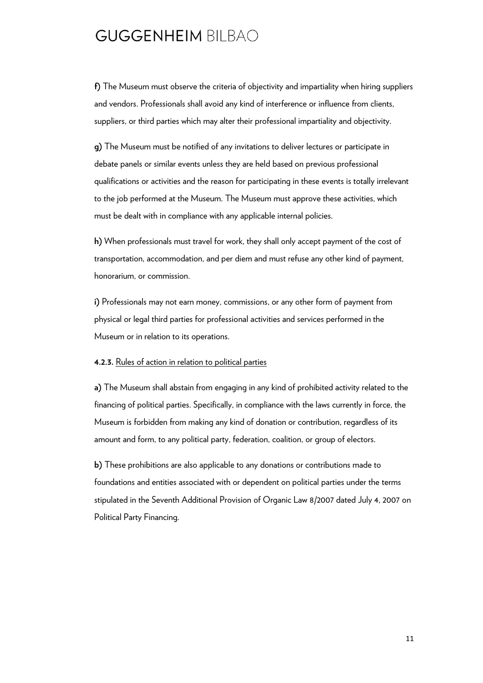**f)** The Museum must observe the criteria of objectivity and impartiality when hiring suppliers and vendors. Professionals shall avoid any kind of interference or influence from clients, suppliers, or third parties which may alter their professional impartiality and objectivity.

**g)** The Museum must be notified of any invitations to deliver lectures or participate in debate panels or similar events unless they are held based on previous professional qualifications or activities and the reason for participating in these events is totally irrelevant to the job performed at the Museum. The Museum must approve these activities, which must be dealt with in compliance with any applicable internal policies.

**h)** When professionals must travel for work, they shall only accept payment of the cost of transportation, accommodation, and per diem and must refuse any other kind of payment, honorarium, or commission.

**i)** Professionals may not earn money, commissions, or any other form of payment from physical or legal third parties for professional activities and services performed in the Museum or in relation to its operations.

#### **4.2.3.** Rules of action in relation to political parties

**a)** The Museum shall abstain from engaging in any kind of prohibited activity related to the financing of political parties. Specifically, in compliance with the laws currently in force, the Museum is forbidden from making any kind of donation or contribution, regardless of its amount and form, to any political party, federation, coalition, or group of electors.

**b)** These prohibitions are also applicable to any donations or contributions made to foundations and entities associated with or dependent on political parties under the terms stipulated in the Seventh Additional Provision of Organic Law 8/2007 dated July 4, 2007 on Political Party Financing.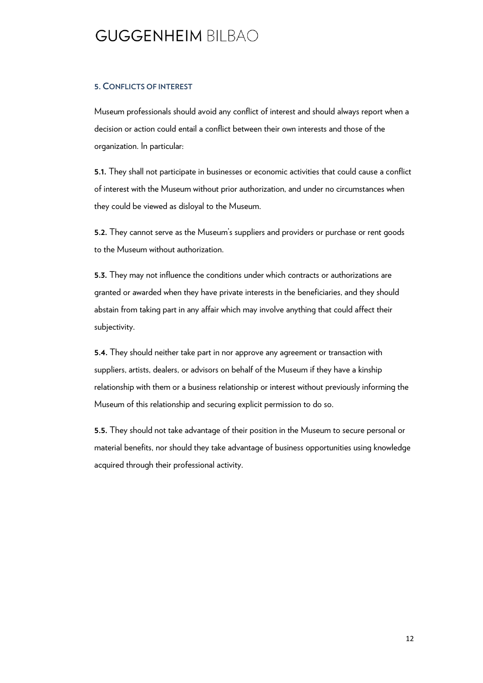#### **5. CONFLICTS OF INTEREST**

Museum professionals should avoid any conflict of interest and should always report when a decision or action could entail a conflict between their own interests and those of the organization. In particular:

**5.1.** They shall not participate in businesses or economic activities that could cause a conflict of interest with the Museum without prior authorization, and under no circumstances when they could be viewed as disloyal to the Museum.

**5.2.** They cannot serve as the Museum's suppliers and providers or purchase or rent goods to the Museum without authorization.

**5.3.** They may not influence the conditions under which contracts or authorizations are granted or awarded when they have private interests in the beneficiaries, and they should abstain from taking part in any affair which may involve anything that could affect their subjectivity.

**5.4.** They should neither take part in nor approve any agreement or transaction with suppliers, artists, dealers, or advisors on behalf of the Museum if they have a kinship relationship with them or a business relationship or interest without previously informing the Museum of this relationship and securing explicit permission to do so.

**5.5.** They should not take advantage of their position in the Museum to secure personal or material benefits, nor should they take advantage of business opportunities using knowledge acquired through their professional activity.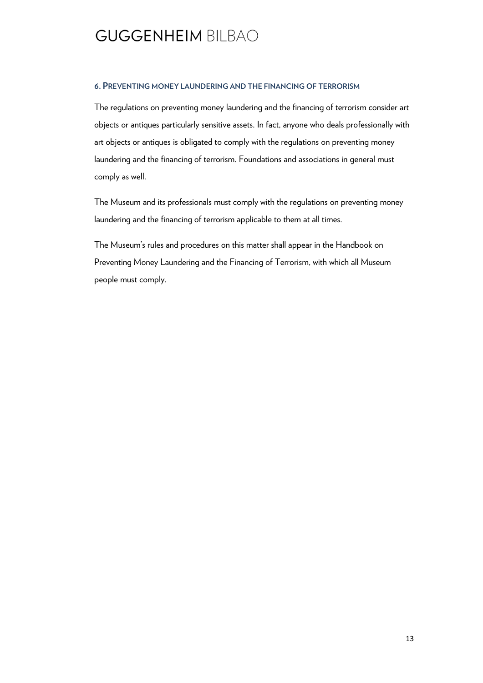#### **6. PREVENTING MONEY LAUNDERING AND THE FINANCING OF TERRORISM**

The regulations on preventing money laundering and the financing of terrorism consider art objects or antiques particularly sensitive assets. In fact, anyone who deals professionally with art objects or antiques is obligated to comply with the regulations on preventing money laundering and the financing of terrorism. Foundations and associations in general must comply as well.

The Museum and its professionals must comply with the regulations on preventing money laundering and the financing of terrorism applicable to them at all times.

The Museum's rules and procedures on this matter shall appear in the Handbook on Preventing Money Laundering and the Financing of Terrorism, with which all Museum people must comply.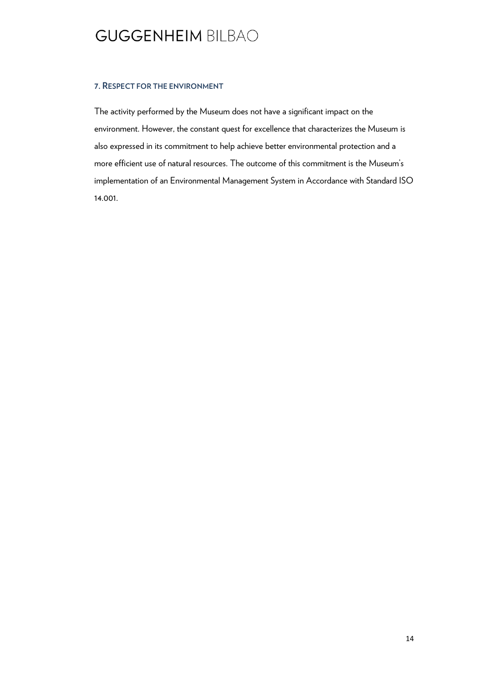#### **7. RESPECT FOR THE ENVIRONMENT**

The activity performed by the Museum does not have a significant impact on the environment. However, the constant quest for excellence that characterizes the Museum is also expressed in its commitment to help achieve better environmental protection and a more efficient use of natural resources. The outcome of this commitment is the Museum's implementation of an Environmental Management System in Accordance with Standard ISO 14.001.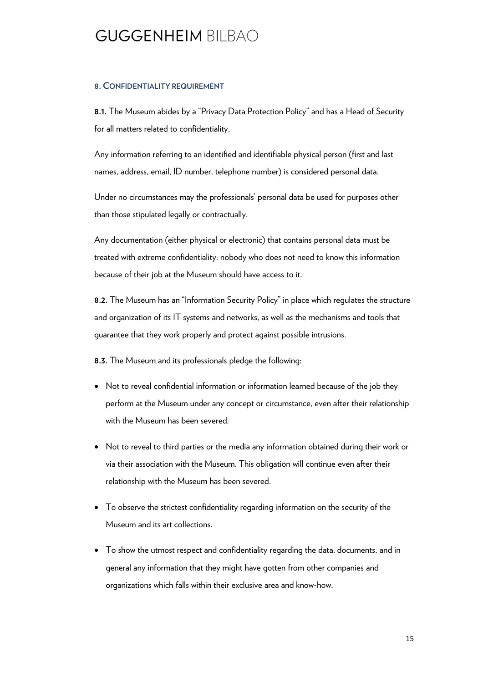#### **8. CONFIDENTIALITY REQUIREMENT**

**8.1.** The Museum abides by a "Privacy Data Protection Policy" and has a Head of Security for all matters related to confidentiality.

Any information referring to an identified and identifiable physical person (first and last names, address, email, ID number, telephone number) is considered personal data.

Under no circumstances may the professionals' personal data be used for purposes other than those stipulated legally or contractually.

Any documentation (either physical or electronic) that contains personal data must be treated with extreme confidentiality: nobody who does not need to know this information because of their job at the Museum should have access to it.

**8.2.** The Museum has an "Information Security Policy" in place which regulates the structure and organization of its IT systems and networks, as well as the mechanisms and tools that guarantee that they work properly and protect against possible intrusions.

**8.3.** The Museum and its professionals pledge the following:

- Not to reveal confidential information or information learned because of the job they perform at the Museum under any concept or circumstance, even after their relationship with the Museum has been severed.
- Not to reveal to third parties or the media any information obtained during their work or via their association with the Museum. This obligation will continue even after their relationship with the Museum has been severed.
- To observe the strictest confidentiality regarding information on the security of the Museum and its art collections.
- To show the utmost respect and confidentiality regarding the data, documents, and in general any information that they might have gotten from other companies and organizations which falls within their exclusive area and know-how.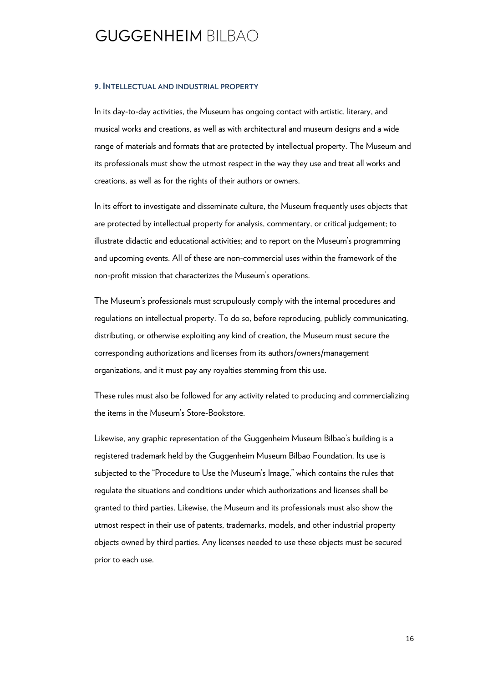#### **9. INTELLECTUAL AND INDUSTRIAL PROPERTY**

In its day-to-day activities, the Museum has ongoing contact with artistic, literary, and musical works and creations, as well as with architectural and museum designs and a wide range of materials and formats that are protected by intellectual property. The Museum and its professionals must show the utmost respect in the way they use and treat all works and creations, as well as for the rights of their authors or owners.

In its effort to investigate and disseminate culture, the Museum frequently uses objects that are protected by intellectual property for analysis, commentary, or critical judgement; to illustrate didactic and educational activities; and to report on the Museum's programming and upcoming events. All of these are non-commercial uses within the framework of the non-profit mission that characterizes the Museum's operations.

The Museum's professionals must scrupulously comply with the internal procedures and regulations on intellectual property. To do so, before reproducing, publicly communicating, distributing, or otherwise exploiting any kind of creation, the Museum must secure the corresponding authorizations and licenses from its authors/owners/management organizations, and it must pay any royalties stemming from this use.

These rules must also be followed for any activity related to producing and commercializing the items in the Museum's Store-Bookstore.

Likewise, any graphic representation of the Guggenheim Museum Bilbao's building is a registered trademark held by the Guggenheim Museum Bilbao Foundation. Its use is subjected to the "Procedure to Use the Museum's Image," which contains the rules that regulate the situations and conditions under which authorizations and licenses shall be granted to third parties. Likewise, the Museum and its professionals must also show the utmost respect in their use of patents, trademarks, models, and other industrial property objects owned by third parties. Any licenses needed to use these objects must be secured prior to each use.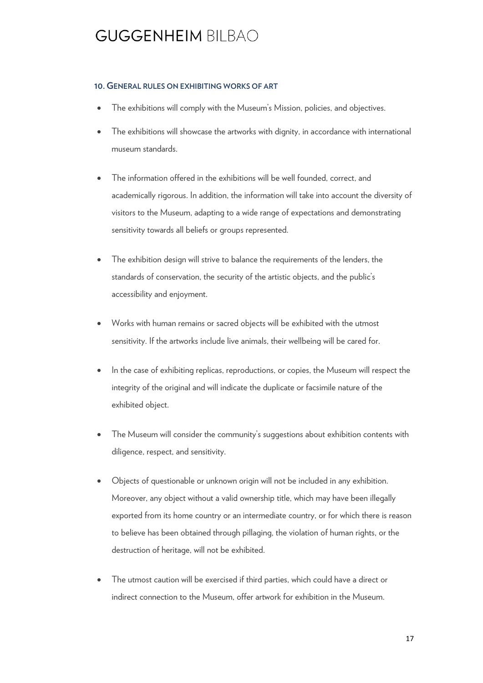#### **10. GENERAL RULES ON EXHIBITING WORKS OF ART**

- The exhibitions will comply with the Museum's Mission, policies, and objectives.
- The exhibitions will showcase the artworks with dignity, in accordance with international museum standards.
- The information offered in the exhibitions will be well founded, correct, and academically rigorous. In addition, the information will take into account the diversity of visitors to the Museum, adapting to a wide range of expectations and demonstrating sensitivity towards all beliefs or groups represented.
- The exhibition design will strive to balance the requirements of the lenders, the standards of conservation, the security of the artistic objects, and the public's accessibility and enjoyment.
- Works with human remains or sacred objects will be exhibited with the utmost sensitivity. If the artworks include live animals, their wellbeing will be cared for.
- In the case of exhibiting replicas, reproductions, or copies, the Museum will respect the integrity of the original and will indicate the duplicate or facsimile nature of the exhibited object.
- The Museum will consider the community's suggestions about exhibition contents with diligence, respect, and sensitivity.
- Objects of questionable or unknown origin will not be included in any exhibition. Moreover, any object without a valid ownership title, which may have been illegally exported from its home country or an intermediate country, or for which there is reason to believe has been obtained through pillaging, the violation of human rights, or the destruction of heritage, will not be exhibited.
- The utmost caution will be exercised if third parties, which could have a direct or indirect connection to the Museum, offer artwork for exhibition in the Museum.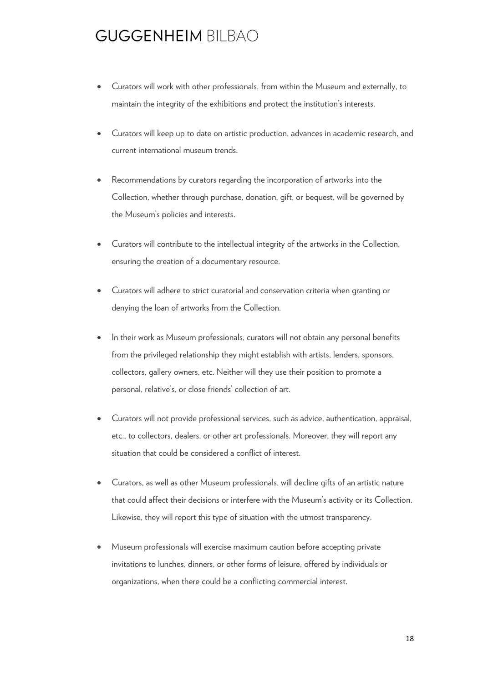- Curators will work with other professionals, from within the Museum and externally, to maintain the integrity of the exhibitions and protect the institution's interests.
- Curators will keep up to date on artistic production, advances in academic research, and current international museum trends.
- Recommendations by curators regarding the incorporation of artworks into the Collection, whether through purchase, donation, gift, or bequest, will be governed by the Museum's policies and interests.
- Curators will contribute to the intellectual integrity of the artworks in the Collection, ensuring the creation of a documentary resource.
- Curators will adhere to strict curatorial and conservation criteria when granting or denying the loan of artworks from the Collection.
- In their work as Museum professionals, curators will not obtain any personal benefits from the privileged relationship they might establish with artists, lenders, sponsors, collectors, gallery owners, etc. Neither will they use their position to promote a personal, relative's, or close friends' collection of art.
- Curators will not provide professional services, such as advice, authentication, appraisal, etc., to collectors, dealers, or other art professionals. Moreover, they will report any situation that could be considered a conflict of interest.
- Curators, as well as other Museum professionals, will decline gifts of an artistic nature that could affect their decisions or interfere with the Museum's activity or its Collection. Likewise, they will report this type of situation with the utmost transparency.
- Museum professionals will exercise maximum caution before accepting private invitations to lunches, dinners, or other forms of leisure, offered by individuals or organizations, when there could be a conflicting commercial interest.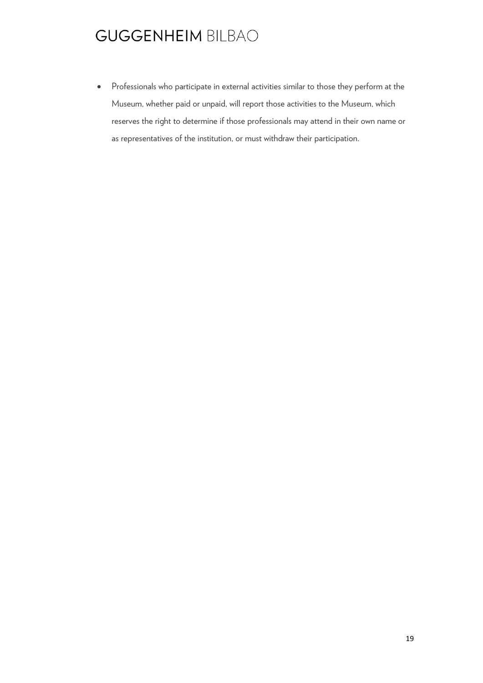Professionals who participate in external activities similar to those they perform at the Museum, whether paid or unpaid, will report those activities to the Museum, which reserves the right to determine if those professionals may attend in their own name or as representatives of the institution, or must withdraw their participation.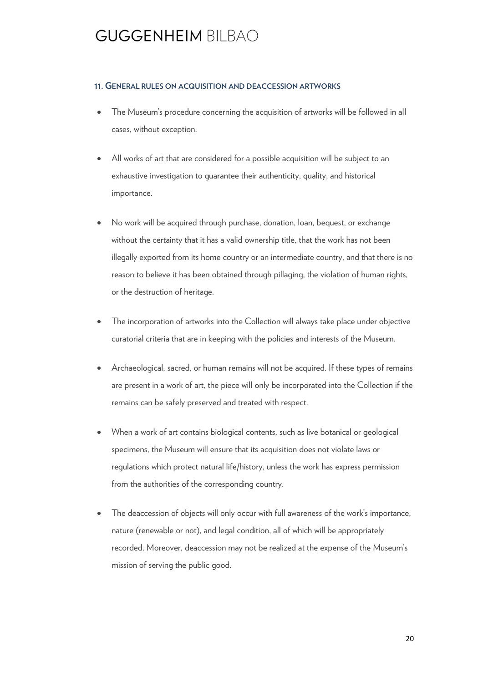#### **11. GENERAL RULES ON ACQUISITION AND DEACCESSION ARTWORKS**

- The Museum's procedure concerning the acquisition of artworks will be followed in all cases, without exception.
- All works of art that are considered for a possible acquisition will be subject to an exhaustive investigation to guarantee their authenticity, quality, and historical importance.
- No work will be acquired through purchase, donation, loan, bequest, or exchange without the certainty that it has a valid ownership title, that the work has not been illegally exported from its home country or an intermediate country, and that there is no reason to believe it has been obtained through pillaging, the violation of human rights, or the destruction of heritage.
- The incorporation of artworks into the Collection will always take place under objective curatorial criteria that are in keeping with the policies and interests of the Museum.
- Archaeological, sacred, or human remains will not be acquired. If these types of remains are present in a work of art, the piece will only be incorporated into the Collection if the remains can be safely preserved and treated with respect.
- When a work of art contains biological contents, such as live botanical or geological specimens, the Museum will ensure that its acquisition does not violate laws or regulations which protect natural life/history, unless the work has express permission from the authorities of the corresponding country.
- The deaccession of objects will only occur with full awareness of the work's importance, nature (renewable or not), and legal condition, all of which will be appropriately recorded. Moreover, deaccession may not be realized at the expense of the Museum's mission of serving the public good.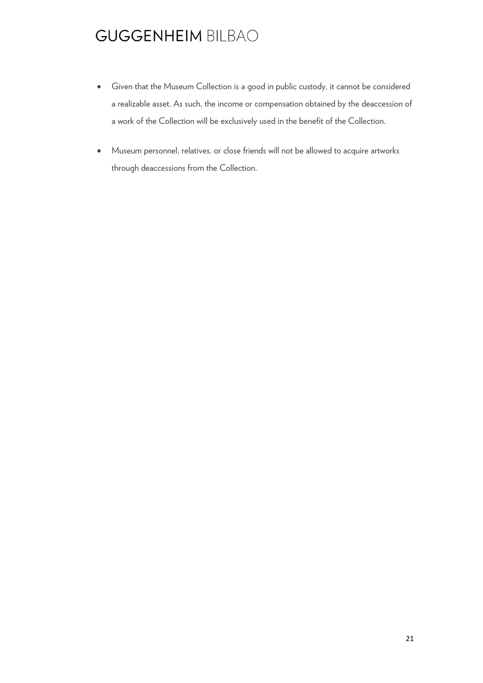- Given that the Museum Collection is a good in public custody, it cannot be considered a realizable asset. As such, the income or compensation obtained by the deaccession of a work of the Collection will be exclusively used in the benefit of the Collection.
- Museum personnel, relatives, or close friends will not be allowed to acquire artworks through deaccessions from the Collection.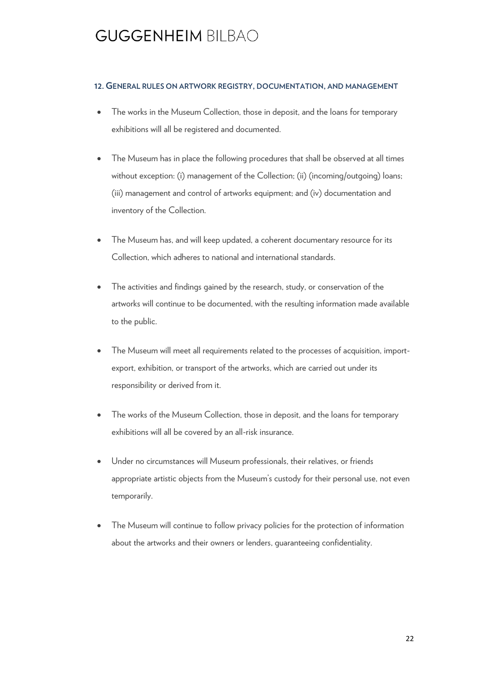#### **12. GENERAL RULES ON ARTWORK REGISTRY, DOCUMENTATION, AND MANAGEMENT**

- The works in the Museum Collection, those in deposit, and the loans for temporary exhibitions will all be registered and documented.
- The Museum has in place the following procedures that shall be observed at all times without exception: (i) management of the Collection; (ii) (incoming/outgoing) loans; (iii) management and control of artworks equipment; and (iv) documentation and inventory of the Collection.
- The Museum has, and will keep updated, a coherent documentary resource for its Collection, which adheres to national and international standards.
- The activities and findings gained by the research, study, or conservation of the artworks will continue to be documented, with the resulting information made available to the public.
- The Museum will meet all requirements related to the processes of acquisition, importexport, exhibition, or transport of the artworks, which are carried out under its responsibility or derived from it.
- The works of the Museum Collection, those in deposit, and the loans for temporary exhibitions will all be covered by an all-risk insurance.
- Under no circumstances will Museum professionals, their relatives, or friends appropriate artistic objects from the Museum's custody for their personal use, not even temporarily.
- The Museum will continue to follow privacy policies for the protection of information about the artworks and their owners or lenders, guaranteeing confidentiality.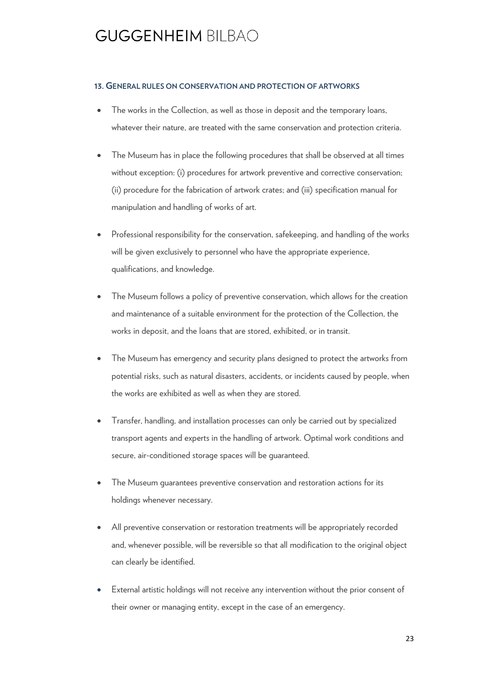#### **13. GENERAL RULES ON CONSERVATION AND PROTECTION OF ARTWORKS**

- The works in the Collection, as well as those in deposit and the temporary loans, whatever their nature, are treated with the same conservation and protection criteria.
- The Museum has in place the following procedures that shall be observed at all times without exception: (i) procedures for artwork preventive and corrective conservation; (ii) procedure for the fabrication of artwork crates; and (iii) specification manual for manipulation and handling of works of art.
- Professional responsibility for the conservation, safekeeping, and handling of the works will be given exclusively to personnel who have the appropriate experience, qualifications, and knowledge.
- The Museum follows a policy of preventive conservation, which allows for the creation and maintenance of a suitable environment for the protection of the Collection, the works in deposit, and the loans that are stored, exhibited, or in transit.
- The Museum has emergency and security plans designed to protect the artworks from potential risks, such as natural disasters, accidents, or incidents caused by people, when the works are exhibited as well as when they are stored.
- Transfer, handling, and installation processes can only be carried out by specialized transport agents and experts in the handling of artwork. Optimal work conditions and secure, air-conditioned storage spaces will be guaranteed.
- The Museum guarantees preventive conservation and restoration actions for its holdings whenever necessary.
- All preventive conservation or restoration treatments will be appropriately recorded and, whenever possible, will be reversible so that all modification to the original object can clearly be identified.
- External artistic holdings will not receive any intervention without the prior consent of their owner or managing entity, except in the case of an emergency.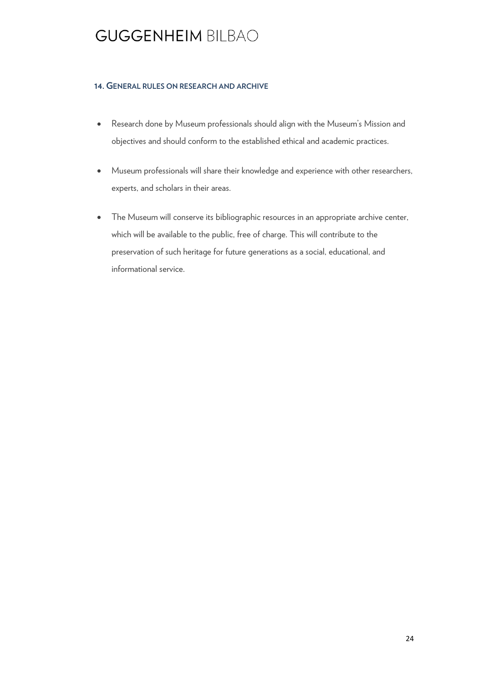#### **14. GENERAL RULES ON RESEARCH AND ARCHIVE**

- Research done by Museum professionals should align with the Museum's Mission and objectives and should conform to the established ethical and academic practices.
- Museum professionals will share their knowledge and experience with other researchers, experts, and scholars in their areas.
- The Museum will conserve its bibliographic resources in an appropriate archive center, which will be available to the public, free of charge. This will contribute to the preservation of such heritage for future generations as a social, educational, and informational service.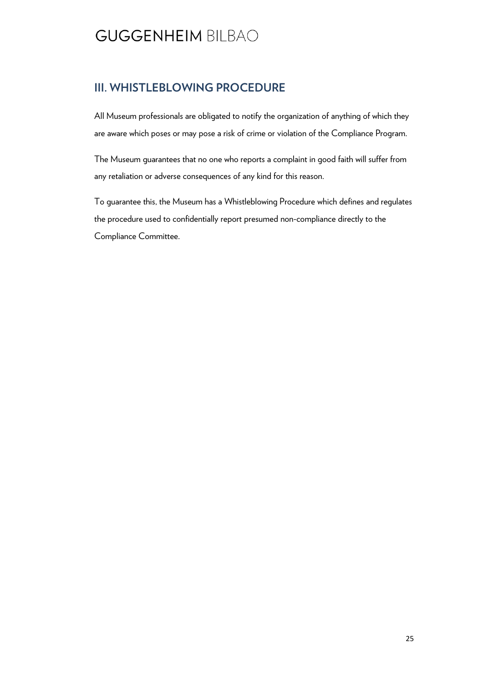#### **III. WHISTLEBLOWING PROCEDURE**

All Museum professionals are obligated to notify the organization of anything of which they are aware which poses or may pose a risk of crime or violation of the [Compliance Program.](http://intranet/es/despacho/organizacion/normasdespacho/deontologia/Paginas/programa-cumplimiento.aspx) 

The Museum guarantees that no one who reports a complaint in good faith will suffer from any retaliation or adverse consequences of any kind for this reason.

To guarantee this, the Museum has a [Whistleblowing Procedure](http://intranet/es/despacho/organizacion/normasdespacho/deontologia/Paginas/canal-denuncias.aspx) which defines and regulates the procedure used to confidentially report presumed non-compliance directly to the Compliance Committee.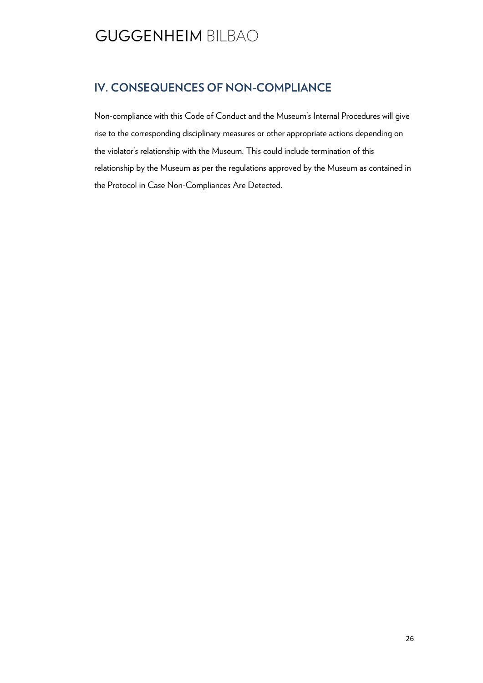#### **IV. CONSEQUENCES OF NON-COMPLIANCE**

Non-compliance with this Code of Conduct and the Museum's Internal Procedures will give rise to the corresponding disciplinary measures or other appropriate actions depending on the violator's relationship with the Museum. This could include termination of this relationship by the Museum as per the regulations approved by the Museum as contained in the Protocol in Case Non-Compliances Are Detected.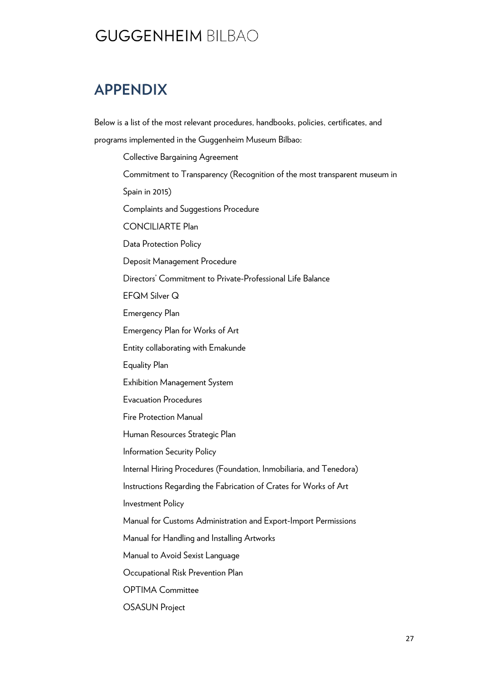### **APPENDIX**

Below is a list of the most relevant procedures, handbooks, policies, certificates, and programs implemented in the Guggenheim Museum Bilbao:

Collective Bargaining Agreement Commitment to Transparency (Recognition of the most transparent museum in Spain in 2015) Complaints and Suggestions Procedure CONCILIARTE Plan Data Protection Policy Deposit Management Procedure Directors' Commitment to Private-Professional Life Balance EFQM Silver Q Emergency Plan Emergency Plan for Works of Art Entity collaborating with Emakunde Equality Plan Exhibition Management System Evacuation Procedures Fire Protection Manual Human Resources Strategic Plan Information Security Policy Internal Hiring Procedures (Foundation, Inmobiliaria, and Tenedora) Instructions Regarding the Fabrication of Crates for Works of Art Investment Policy Manual for Customs Administration and Export-Import Permissions Manual for Handling and Installing Artworks Manual to Avoid Sexist Language Occupational Risk Prevention Plan OPTIMA Committee OSASUN Project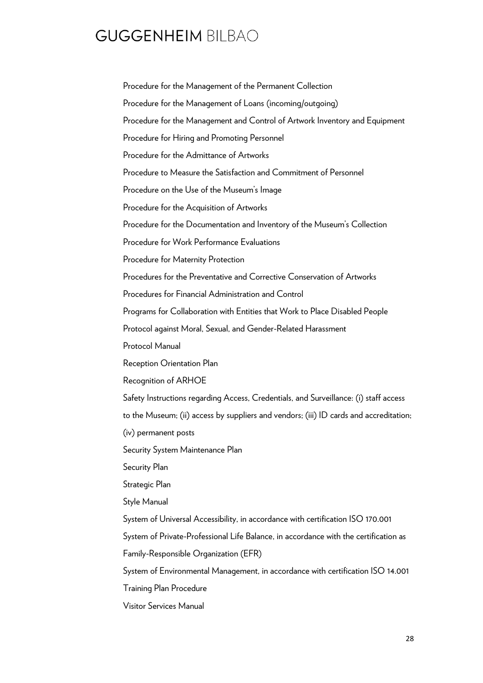Procedure for the Management of the Permanent Collection Procedure for the Management of Loans (incoming/outgoing) Procedure for the Management and Control of Artwork Inventory and Equipment Procedure for Hiring and Promoting Personnel Procedure for the Admittance of Artworks Procedure to Measure the Satisfaction and Commitment of Personnel Procedure on the Use of the Museum's Image Procedure for the Acquisition of Artworks Procedure for the Documentation and Inventory of the Museum's Collection Procedure for Work Performance Evaluations Procedure for Maternity Protection Procedures for the Preventative and Corrective Conservation of Artworks Procedures for Financial Administration and Control Programs for Collaboration with Entities that Work to Place Disabled People Protocol against Moral, Sexual, and Gender-Related Harassment Protocol Manual Reception Orientation Plan Recognition of ARHOE Safety Instructions regarding Access, Credentials, and Surveillance: (i) staff access to the Museum; (ii) access by suppliers and vendors; (iii) ID cards and accreditation; (iv) permanent posts Security System Maintenance Plan Security Plan Strategic Plan Style Manual System of Universal Accessibility, in accordance with certification ISO 170.001 System of Private-Professional Life Balance, in accordance with the certification as Family-Responsible Organization (EFR) System of Environmental Management, in accordance with certification ISO 14.001 Training Plan Procedure

Visitor Services Manual